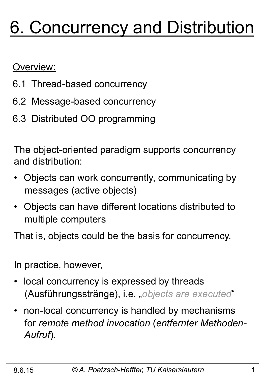# 6. Concurrency and Distribution

Overview:

- 6.1 Thread-based concurrency
- 6.2 Message-based concurrency
- 6.3 Distributed OO programming

The object-oriented paradigm supports concurrency and distribution:

- Objects can work concurrently, communicating by messages (active objects)
- Objects can have different locations distributed to multiple computers

That is, objects could be the basis for concurrency.

In practice, however,

- local concurrency is expressed by threads (Ausführungsstränge), i.e. "*objects are executed*"
- non-local concurrency is handled by mechanisms for *remote method invocation* (*entfernter Methoden- Aufruf*).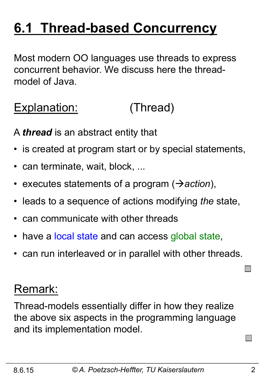## **6.1 Thread-based Concurrency**

Most modern OO languages use threads to express concurrent behavior. We discuss here the threadmodel of Java.

## Explanation: (Thread)

A *thread* is an abstract entity that

- is created at program start or by special statements,
- can terminate, wait, block, ...
- executes statements of a program ( $\rightarrow$ *action*),
- leads to a sequence of actions modifying *the* state,
- can communicate with other threads
- have a local state and can access global state,
- can run interleaved or in parallel with other threads.

#### Remark:

Thread-models essentially differ in how they realize the above six aspects in the programming language and its implementation model.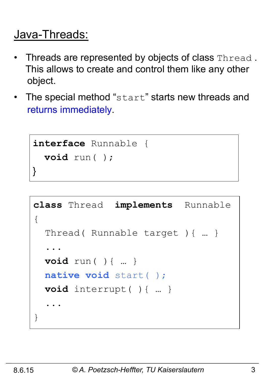## Java-Threads:

- Threads are represented by objects of class Thread. This allows to create and control them like any other object.
- The special method "start" starts new threads and returns immediately.

```
interface Runnable { 
   void run( ); 
}
```

```
class Thread implements Runnable 
{ 
   Thread( Runnable target ){ … } 
 ... 
   void run( ){ … } 
   native void start( ); 
   void interrupt( ){ … } 
 ... 
}
```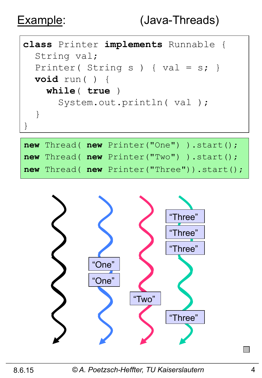

|  | new Thread(new Printer("One")).start();   |
|--|-------------------------------------------|
|  | new Thread(new Printer("Two")).start();   |
|  | new Thread(new Printer("Three")).start(); |



8.6.15 *© A. Poetzsch-Heffter, TU Kaiserslautern* 4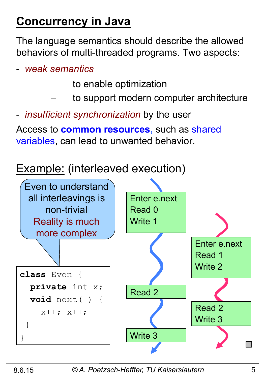## **Concurrency in Java**

The language semantics should describe the allowed behaviors of multi-threaded programs. Two aspects:

- *weak semantics*
	- to enable optimization
	- to support modern computer architecture
- *insufficient synchronization* by the user

Access to **common resources,** such as shared variables, can lead to unwanted behavior.

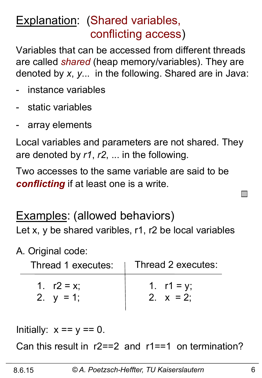## Explanation: (Shared variables, conflicting access)

Variables that can be accessed from different threads are called *shared* (heap memory/variables). They are denoted by *x*, *y*... in the following. Shared are in Java:

- instance variables
- static variables
- array elements

Local variables and parameters are not shared. They are denoted by *r1*, *r2*, ... in the following.

Two accesses to the same variable are said to be *conflicting* if at least one is a write.

Examples: (allowed behaviors) Let x, y be shared varibles, r1, r2 be local variables

#### A. Original code:

| Thread 1 executes: | Thread 2 executes: |
|--------------------|--------------------|
| 1. $r2 = x$        | 1. $r1 = y$ ;      |
| 2. $y = 1$ ;       | 2. $x = 2$ :       |

Initially:  $x == y == 0$ .

Can this result in r2==2 and r1==1 on termination?

**Contract**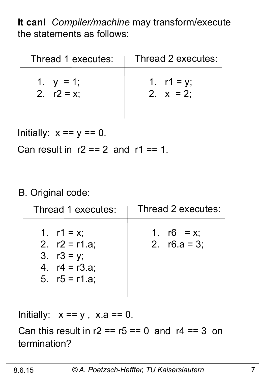**It can!** *Compiler/machine* may transform/execute the statements as follows:

| Thread 1 executes: | Thread 2 executes: |
|--------------------|--------------------|
| 1. $y = 1$ ;       | 1. $r1 = y$ ;      |
| 2. $r2 = x$ ;      | 2. $x = 2$ :       |

Initially:  $x == y == 0$ . Can result in  $r2 == 2$  and  $r1 == 1$ .

#### B. Original code:

| Thread 1 executes:                                                                      | Thread 2 executes:               |
|-----------------------------------------------------------------------------------------|----------------------------------|
| 1. $r1 = x$ ;<br>2. $r2 = r1.a;$<br>3. $r3 = y$ ;<br>4. $r4 = r3.a;$<br>5. $r5 = r1.a;$ | 1. $r6 = x$ ;<br>2. $r6.a = 3$ ; |

Initially:  $x == y$ ,  $x.a == 0$ .

Can this result in  $r2 == r5 == 0$  and  $r4 == 3$  on termination?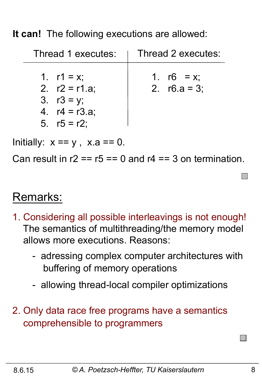**It can!** The following executions are allowed:

| Thread 1 executes:                                                                      | Thread 2 executes:               |
|-----------------------------------------------------------------------------------------|----------------------------------|
| 1. $r1 = x$ ;<br>2. $r2 = r1.a$ ;<br>3. $r3 = y$ ;<br>4. $r4 = r3.a;$<br>5. $r5 = r2$ ; | 1. $r6 = x$ ;<br>2. $r6.a = 3$ ; |

Initially:  $x == y$ ,  $x.a == 0$ .

Can result in  $r2 = r5 == 0$  and  $r4 == 3$  on termination.

#### Remarks:

- 1. Considering all possible interleavings is not enough! The semantics of multithreading/the memory model allows more executions. Reasons:
	- adressing complex computer architectures with buffering of memory operations
	- allowing thread-local compiler optimizations
- 2. Only data race free programs have a semantics comprehensible to programmers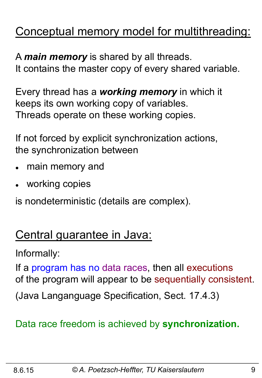## Conceptual memory model for multithreading:

A *main memory* is shared by all threads. It contains the master copy of every shared variable.

Every thread has a *working memory* in which it keeps its own working copy of variables. Threads operate on these working copies.

If not forced by explicit synchronization actions, the synchronization between

- main memory and
- working copies

is nondeterministic (details are complex).

## Central guarantee in Java:

Informally:

If a program has no data races, then all executions of the program will appear to be sequentially consistent.

(Java Langanguage Specification, Sect. 17.4.3)

#### Data race freedom is achieved by **synchronization.**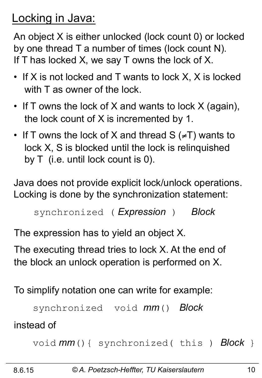## Locking in Java:

An object X is either unlocked (lock count 0) or locked by one thread T a number of times (lock count N). If T has locked X, we say T owns the lock of X.

- If X is not locked and T wants to lock X, X is locked with T as owner of the lock.
- If T owns the lock of X and wants to lock X (again), the lock count of X is incremented by 1.
- If T owns the lock of X and thread  $S$  ( $\neq$ T) wants to lock X, S is blocked until the lock is relinquished by T (i.e. until lock count is 0).

Java does not provide explicit lock/unlock operations. Locking is done by the synchronization statement:

```
synchronized ( Expression ) Block
```
The expression has to yield an object X.

The executing thread tries to lock X. At the end of the block an unlock operation is performed on X.

To simplify notation one can write for example:

```
 synchronized void mm() Block
```
instead of

```
 void mm(){ synchronized( this ) Block }
```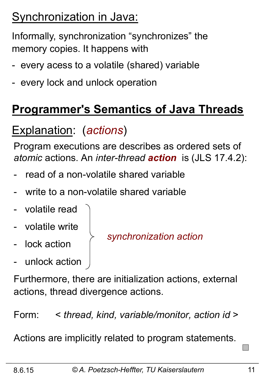## Synchronization in Java:

Informally, synchronization "synchronizes" the memory copies. It happens with

- every acess to a volatile (shared) variable
- every lock and unlock operation

## **Programmer's Semantics of Java Threads**

## Explanation: (*actions*)

Program executions are describes as ordered sets of *atomic* actions. An *inter-thread action* is (JLS 17.4.2):

- read of a non-volatile shared variable
- write to a non-volatile shared variable
- volatile read
- volatile write
- lock action
- unlock action

*synchronization action* 

Furthermore, there are initialization actions, external actions, thread divergence actions.

Form: < *thread, kind, variable/monitor, action id* >

Actions are implicitly related to program statements.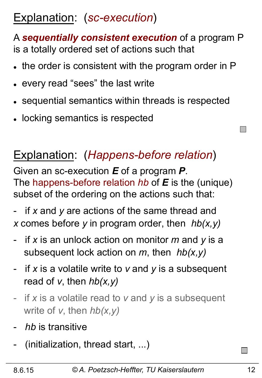## Explanation: (*sc-execution*)

A *sequentially consistent execution* of a program P is a totally ordered set of actions such that

- . the order is consistent with the program order in P
- every read "sees" the last write
- sequential semantics within threads is respected
- locking semantics is respected

## Explanation: (*Happens-before relation*)

Given an sc-execution *E* of a program *P*. The happens-before relation *hb* of *E* is the (unique) subset of the ordering on the actions such that:

if x and y are actions of the same thread and *x* comes before *y* in program order, then *hb(x,y)* 

- if *x* is an unlock action on monitor *m* and *y* is a subsequent lock action on *m*, then *hb(x,y)*
- if *x* is a volatile write to *v* and *y* is a subsequent read of *v*, then *hb(x,y)*
- if *x* is a volatile read to *v* and *y* is a subsequent write of *v*, then *hb(x,y)*
- hb is transitive
- (initialization, thread start, ...)

 $\Box$ 

 $\mathcal{L}^{\mathcal{L}}$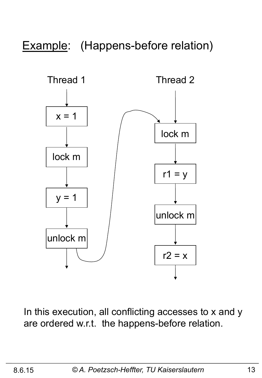Example: (Happens-before relation)



In this execution, all conflicting accesses to x and y are ordered w.r.t. the happens-before relation.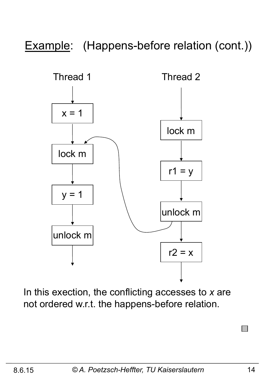## Example: (Happens-before relation (cont.))



In this exection, the conflicting accesses to *x* are not ordered w.r.t. the happens-before relation.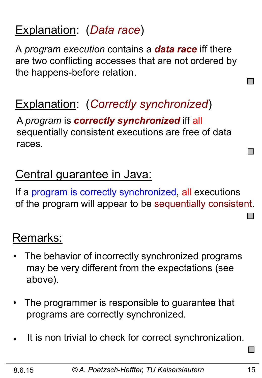## Explanation: (*Data race*)

A *program execution* contains a *data race* iff there are two conflicting accesses that are not ordered by the happens-before relation.

## Explanation: (*Correctly synchronized*)

A *program* is *correctly synchronized* iff all sequentially consistent executions are free of data races.

## Central guarantee in Java:

If a program is correctly synchronized, all executions of the program will appear to be sequentially consistent.

### Remarks:

- The behavior of incorrectly synchronized programs may be very different from the expectations (see above).
- The programmer is responsible to guarantee that programs are correctly synchronized.
- It is non trivial to check for correct synchronization.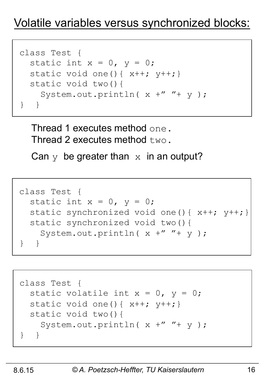## Volatile variables versus synchronized blocks:

```
class Test { 
  static int x = 0, y = 0;
  static void one(){x++; y++) static void two(){ 
    System.out.println(x +'' + y);
} }
```
Thread 1 executes method one. Thread 2 executes method  $two$ .

Can  $y$  be greater than  $x$  in an output?

```
class Test { 
  static int x = 0, y = 0;
  static synchronized void one(){x++; y++) static synchronized void two(){ 
     System.out.println( x +" "+ y ); 
} }
```

```
class Test { 
  static volatile int x = 0, y = 0;
  static void one(){x++; y++) static void two(){ 
    System.out.println(x +'' + y);
} }
```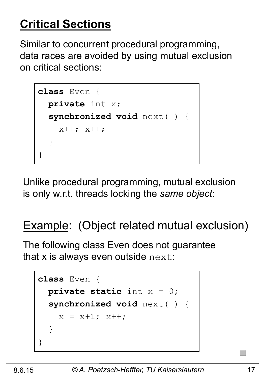## **Critical Sections**

Similar to concurrent procedural programming, data races are avoided by using mutual exclusion on critical sections:

```
class Even { 
   private int x; 
   synchronized void next( ) { 
     x++; x++; 
   } 
}
```
Unlike procedural programming, mutual exclusion is only w.r.t. threads locking the *same object*:

## Example: (Object related mutual exclusion)

The following class Even does not guarantee that  $x$  is always even outside  $next$ :

```
class Even { 
   private static int x = 0; 
   synchronized void next( ) { 
    x = x+1; x++; } 
}
```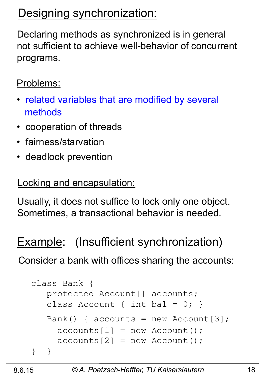## Designing synchronization:

Declaring methods as synchronized is in general not sufficient to achieve well-behavior of concurrent programs.

#### Problems:

- related variables that are modified by several methods
- cooperation of threads
- fairness/starvation
- deadlock prevention

#### Locking and encapsulation:

Usually, it does not suffice to lock only one object. Sometimes, a transactional behavior is needed.

## Example: (Insufficient synchronization)

Consider a bank with offices sharing the accounts:

```
class Bank { 
    protected Account[] accounts; 
   class Account { int bal = 0; }
   Bank() { accounts = new Account[3];
     acccounts[1] = new Account();
     acccounts[2] = new Account();
} }
```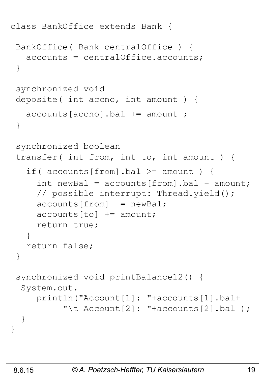```
class BankOffice extends Bank { 
 BankOffice( Bank centralOffice ) { 
    accounts = centralOffice.accounts; 
  } 
  synchronized void 
 deposite( int accno, int amount ) { 
    accounts[accno].bal += amount ; 
  } 
  synchronized boolean
  transfer( int from, int to, int amount ) { 
    if( accounts[from].bal >= amount ) { 
     int newBal = accounds[from] .bal - amount; // possible interrupt: Thread.yield(); 
     acccounts[from] = newBal;accounts[to] += amount; return true; 
    } 
    return false; 
  } 
  synchronized void printBalance12() { 
   System.out. 
      println("Account[1]: "+accounts[1].bal+ 
           "\t Account [2]: "+accounts [2].bal );
   } 
}
```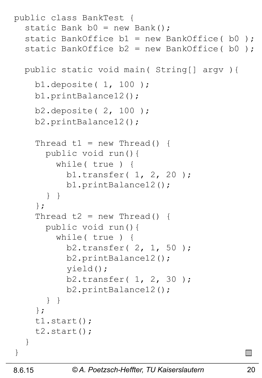```
public class BankTest { 
  static Bank b0 = new Bank();
  static BankOffice b1 = new BankOffice( b0);
  static BankOffice b2 = new BankOffice( b0); public static void main( String[] argv ){ 
     b1.deposite( 1, 100 ); 
     b1.printBalance12(); 
     b2.deposite( 2, 100 ); 
     b2.printBalance12(); 
    Thread t1 = new Thread() {
       public void run(){ 
         while( true ) { 
            b1.transfer( 1, 2, 20 ); 
            b1.printBalance12(); 
 } } 
     }; 
    Thread t2 = new Thread() {
       public void run(){ 
         while( true ) { 
            b2.transfer( 2, 1, 50 ); 
            b2.printBalance12(); 
            yield(); 
            b2.transfer( 1, 2, 30 ); 
            b2.printBalance12(); 
 } } 
     }; 
     t1.start(); 
     t2.start(); 
   } 
}
```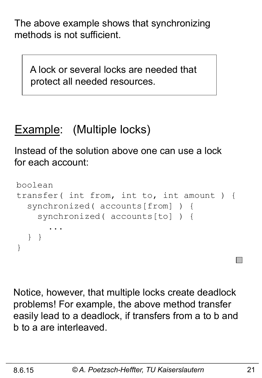The above example shows that synchronizing methods is not sufficient.

 A lock or several locks are needed that protect all needed resources.

## Example: (Multiple locks)

Instead of the solution above one can use a lock for each account:

```
boolean 
transfer( int from, int to, int amount ) { 
   synchronized( accounts[from] ) { 
     synchronized( accounts[to] ) { 
 ... 
   } } 
}
```
Notice, however, that multiple locks create deadlock problems! For example, the above method transfer easily lead to a deadlock, if transfers from a to b and b to a are interleaved.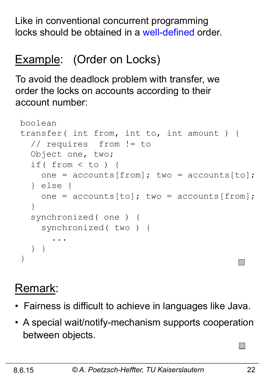Like in conventional concurrent programming locks should be obtained in a well-defined order.

## Example: (Order on Locks)

To avoid the deadlock problem with transfer, we order the locks on accounts according to their account number:

```
boolean 
transfer( int from, int to, int amount ) { 
   // requires from != to 
   Object one, two; 
   if( from < to ) { 
    one = accounts[from]; two = accounts[to];
   } else { 
    one = accounts[to]; two = accounts[from];
   } 
   synchronized( one ) { 
     synchronized( two ) { 
 ... 
   } } 
}
```
## Remark:

- Fairness is difficult to achieve in languages like Java.
- A special wait/notify-mechanism supports cooperation between objects.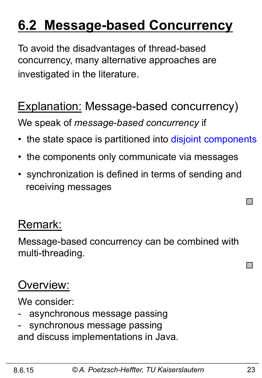## **6.2 Message-based Concurrency**

To avoid the disadvantages of thread-based concurrency, many alternative approaches are investigated in the literature.

## Explanation: Message-based concurrency)

We speak of *message-based concurrency* if

- the state space is partitioned into disjoint components
- the components only communicate via messages
- synchronization is defined in terms of sending and receiving messages

### Remark:

Message-based concurrency can be combined with multi-threading.

## Overview:

We consider:

- asynchronous message passing
- synchronous message passing and discuss implementations in Java.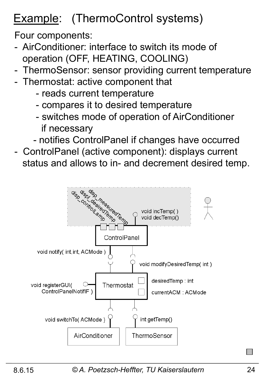## Example: (ThermoControl systems)

Four components:

- AirConditioner: interface to switch its mode of operation (OFF, HEATING, COOLING)
- ThermoSensor: sensor providing current temperature
- Thermostat: active component that
	- reads current temperature
	- compares it to desired temperature
	- switches mode of operation of AirConditioner if necessary
	- notifies ControlPanel if changes have occurred
- ControlPanel (active component): displays current status and allows to in- and decrement desired temp.

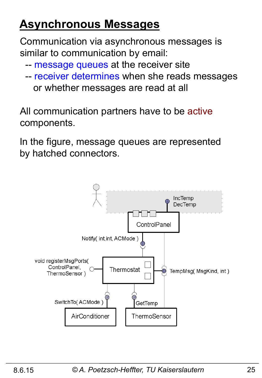## **Asynchronous Messages**

Communication via asynchronous messages is similar to communication by email:

- -- message queues at the receiver site
- -- receiver determines when she reads messages or whether messages are read at all

All communication partners have to be active components.

In the figure, message queues are represented by hatched connectors.

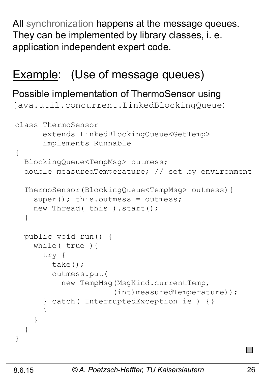All synchronization happens at the message queues. They can be implemented by library classes, i. e. application independent expert code.

#### Example: (Use of message queues)

#### Possible implementation of ThermoSensor using

java.util.concurrent.LinkedBlockingQueue:

```
class ThermoSensor 
       extends LinkedBlockingQueue<GetTemp> 
       implements Runnable 
{ 
   BlockingQueue<TempMsg> outmess; 
   double measuredTemperature; // set by environment 
   ThermoSensor(BlockingQueue<TempMsg> outmess){ 
    super(); this.outmess = outmess;
    new Thread( this ).start();
   } 
   public void run() { 
     while( true ){ 
       try { 
         take(); 
         outmess.put( 
            new TempMsg(MsgKind.currentTemp, 
                        (int)measuredTemperature)); 
       } catch( InterruptedException ie ) {} 
 } 
 } 
   } 
}
```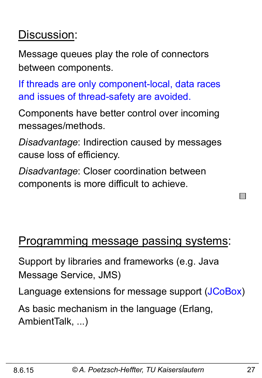## Discussion:

Message queues play the role of connectors between components.

If threads are only component-local, data races and issues of thread-safety are avoided.

Components have better control over incoming messages/methods.

*Disadvantage*: Indirection caused by messages cause loss of efficiency.

*Disadvantage*: Closer coordination between components is more difficult to achieve.

#### Programming message passing systems:

Support by libraries and frameworks (e.g. Java Message Service, JMS)

Language extensions for message support (JCoBox)

As basic mechanism in the language (Erlang, AmbientTalk, ...)

 $\mathbf{I}$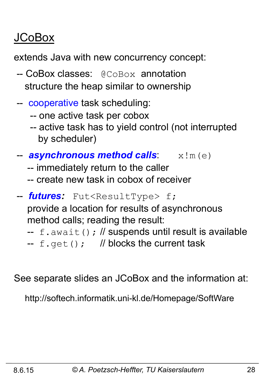## JCoBox

extends Java with new concurrency concept:

- -- CoBox classes: @CoBox annotation structure the heap similar to ownership
- -- cooperative task scheduling:
	- -- one active task per cobox
	- -- active task has to yield control (not interrupted by scheduler)
- **asynchronous method calls**:  $x \, ! \, m \, (e)$ 
	- -- immediately return to the caller
	- -- create new task in cobox of receiver
- -- *futures:* Fut<ResultType> f;

 provide a location for results of asynchronous method calls; reading the result:

- $-$  f.await(); // suspends until result is available
- --  $f.get()$ ; // blocks the current task

See separate slides an JCoBox and the information at:

http://softech.informatik.uni-kl.de/Homepage/SoftWare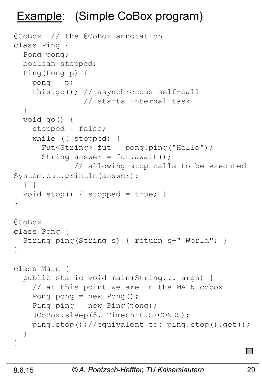## Example: (Simple CoBox program)

```
@CoBox // the @CoBox annotation 
class Ping { 
   Pong pong; 
   boolean stopped; 
   Ping(Pong p) { 
    pong = p;
     this!go(); // asynchronous self-call 
                 // starts internal task 
   } 
   void go() { 
     stopped = false; 
     while (! stopped) { 
       Fut<String> fut = pong!ping("Hello"); 
      String answer = fut.awt();
               // allowing stop calls to be executed 
System.out.println(answer); 
   } } 
  void stop() { stopped = true; }
} 
@CoBox 
class Pong { 
   String ping(String s) { return s+" World"; } 
} 
class Main { 
   public static void main(String... args) { 
     // at this point we are in the MAIN cobox
    Pong pong = new Pong();
    Ping ping = new Ping(pong);
     JCoBox.sleep(5, TimeUnit.SECONDS); 
     ping.stop();//equivalent to: ping!stop().get(); 
   } 
}
```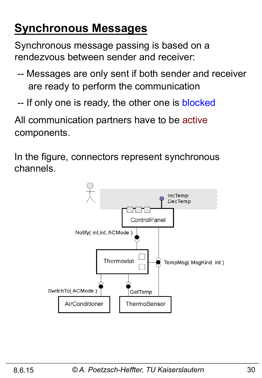## **Synchronous Messages**

Synchronous message passing is based on a rendezvous between sender and receiver:

- -- Messages are only sent if both sender and receiver are ready to perform the communication
- -- If only one is ready, the other one is blocked

All communication partners have to be active components.

In the figure, connectors represent synchronous channels.

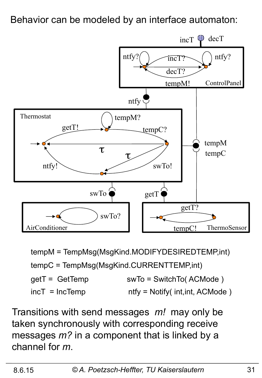Behavior can be modeled by an interface automaton:



 $incT = IncTemp$ getT = GetTemp ntfy = Notify( int,int, ACMode ) swTo = SwitchTo( ACMode ) tempM = TempMsg(MsgKind.MODIFYDESIREDTEMP,int) tempC = TempMsg(MsgKind.CURRENTTEMP,int)

Transitions with send messages *m!* may only be taken synchronously with corresponding receive messages *m?* in a component that is linked by a channel for *m*.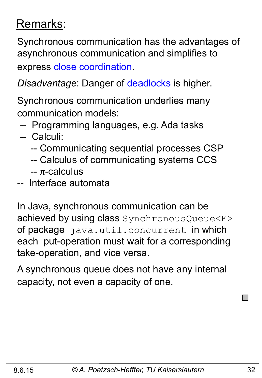## Remarks:

Synchronous communication has the advantages of asynchronous communication and simplifies to express close coordination.

*Disadvantage*: Danger of deadlocks is higher.

Synchronous communication underlies many communication models:

-- Programming languages, e.g. Ada tasks

#### -- Calculi:

- -- Communicating sequential processes CSP
- -- Calculus of communicating systems CCS
- -- π-calculus
- -- Interface automata

In Java, synchronous communication can be achieved by using class SynchronousQueue<E> of package java.util.concurrent in which each put-operation must wait for a corresponding take-operation, and vice versa.

A synchronous queue does not have any internal capacity, not even a capacity of one.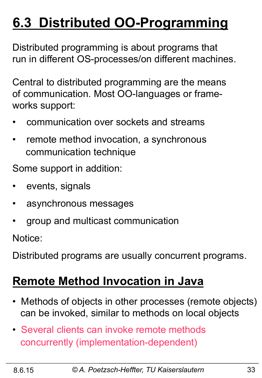## **6.3 Distributed OO-Programming**

Distributed programming is about programs that run in different OS-processes/on different machines.

Central to distributed programming are the means of communication. Most OO-languages or frameworks support:

- communication over sockets and streams
- remote method invocation, a synchronous communication technique

Some support in addition:

- events, signals
- asynchronous messages
- group and multicast communication

Notice:

Distributed programs are usually concurrent programs.

### **Remote Method Invocation in Java**

- Methods of objects in other processes (remote objects) can be invoked, similar to methods on local objects
- Several clients can invoke remote methods concurrently (implementation-dependent)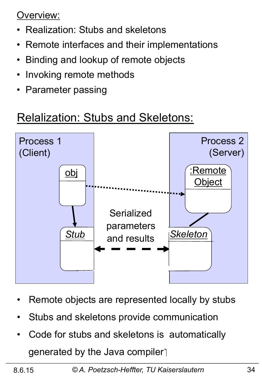Overview:

- Realization: Stubs and skeletons
- Remote interfaces and their implementations
- Binding and lookup of remote objects
- Invoking remote methods
- Parameter passing

## Relalization: Stubs and Skeletons:



- Remote objects are represented locally by stubs
- Stubs and skeletons provide communication
- Code for stubs and skeletons is automatically generated by the Java compiler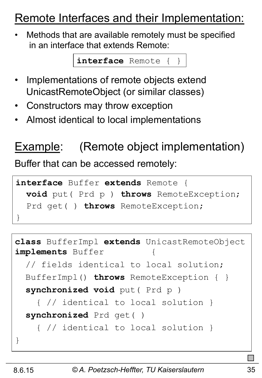## Remote Interfaces and their Implementation:

• Methods that are available remotely must be specified in an interface that extends Remote:

**interface** Remote { }

- Implementations of remote objects extend UnicastRemoteObject (or similar classes)
- Constructors may throw exception
- Almost identical to local implementations

## Example: (Remote object implementation)

Buffer that can be accessed remotely:

```
interface Buffer extends Remote { 
   void put( Prd p ) throws RemoteException; 
   Prd get( ) throws RemoteException; 
}
```

```
class BufferImpl extends UnicastRemoteObject 
implements Buffer { 
   // fields identical to local solution; 
   BufferImpl() throws RemoteException { } 
   synchronized void put( Prd p ) 
     { // identical to local solution } 
   synchronized Prd get( ) 
     { // identical to local solution } 
}
```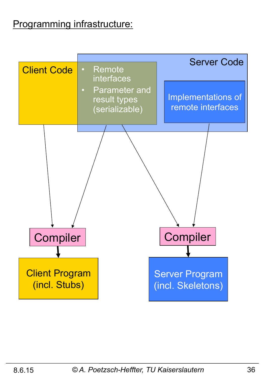#### Programming infrastructure:

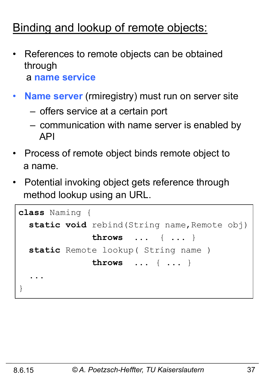## Binding and lookup of remote objects:

- References to remote objects can be obtained through a **name service**
- **Name server** (rmiregistry) must run on server site
	- offers service at a certain port
	- communication with name server is enabled by API
- Process of remote object binds remote object to a name.
- Potential invoking object gets reference through method lookup using an URL.

```
class Naming { 
  static void rebind (String name, Remote obj)
                throws ... { ... } 
   static Remote lookup( String name ) 
                throws ... { ... } 
 ... 
}
```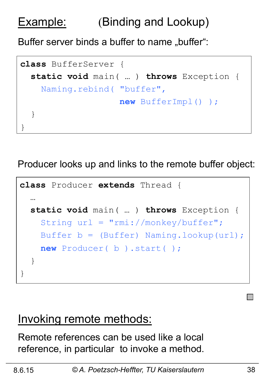## Example: (Binding and Lookup)

Buffer server binds a buffer to name "buffer":

```
class BufferServer { 
   static void main( … ) throws Exception { 
     Naming.rebind( "buffer", 
                      new BufferImpl() ); 
   } 
}
```
Producer looks up and links to the remote buffer object:

```
class Producer extends Thread { 
 … 
   static void main( … ) throws Exception { 
     String url = "rmi://monkey/buffer"; 
    Buffer b = (Buffer) Naming.lookup(url);
     new Producer( b ).start( ); 
   } 
}
```
#### Invoking remote methods:

Remote references can be used like a local reference, in particular to invoke a method.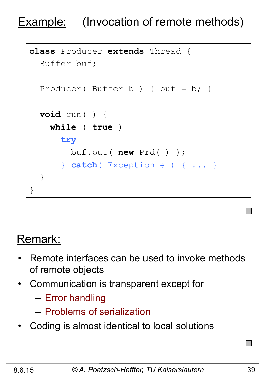## Example: (Invocation of remote methods)

```
class Producer extends Thread { 
   Buffer buf; 
  Producer( Buffer b ) { buf = b; }
   void run( ) { 
     while ( true ) 
        try { 
          buf.put( new Prd( ) ); 
        } catch( Exception e ) { ... } 
   } 
}
```
## Remark:

- Remote interfaces can be used to invoke methods of remote objects
- Communication is transparent except for
	- Error handling
	- Problems of serialization
- Coding is almost identical to local solutions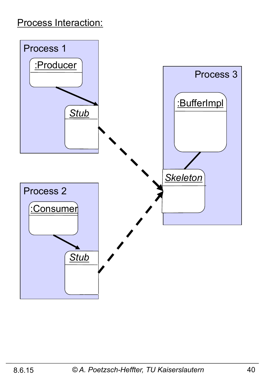#### Process Interaction:

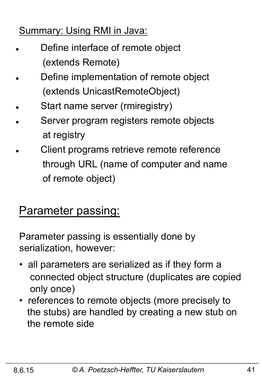#### Summary: Using RMI in Java:

- Define interface of remote object (extends Remote)
- Define implementation of remote object (extends UnicastRemoteObject)
- Start name server (rmiregistry)
- Server program registers remote objects at registry
- Client programs retrieve remote reference through URL (name of computer and name of remote object)

### **Parameter passing:**

Parameter passing is essentially done by serialization, however:

- all parameters are serialized as if they form a connected object structure (duplicates are copied only once)
- references to remote objects (more precisely to the stubs) are handled by creating a new stub on the remote side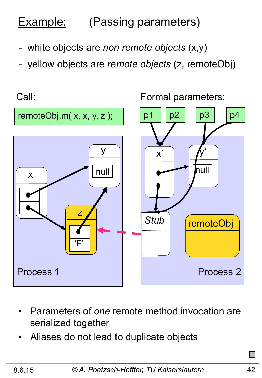## Example: (Passing parameters)

- white objects are *non remote objects* (x,y)
- yellow objects are *remote objects* (z, remoteObj)

Call: Formal parameters:



- Parameters of *one* remote method invocation are serialized together
- Aliases do not lead to duplicate objects